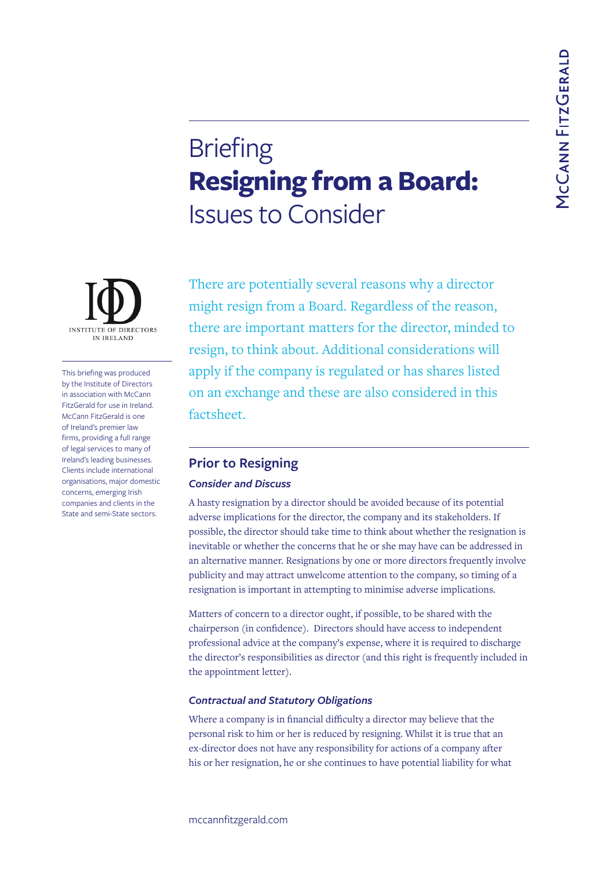# **Briefing Resigning from a Board:**  Issues to Consider

There are potentially several reasons why a director might resign from a Board. Regardless of the reason, there are important matters for the director, minded to resign, to think about. Additional considerations will apply if the company is regulated or has shares listed on an exchange and these are also considered in this factsheet.

## **Prior to Resigning**  *Consider and Discuss*

A hasty resignation by a director should be avoided because of its potential adverse implications for the director, the company and its stakeholders. If possible, the director should take time to think about whether the resignation is inevitable or whether the concerns that he or she may have can be addressed in an alternative manner. Resignations by one or more directors frequently involve publicity and may attract unwelcome attention to the company, so timing of a resignation is important in attempting to minimise adverse implications.

Matters of concern to a director ought, if possible, to be shared with the chairperson (in confidence). Directors should have access to independent professional advice at the company's expense, where it is required to discharge the director's responsibilities as director (and this right is frequently included in the appointment letter).

#### *Contractual and Statutory Obligations*

Where a company is in financial difficulty a director may believe that the personal risk to him or her is reduced by resigning. Whilst it is true that an ex-director does not have any responsibility for actions of a company after his or her resignation, he or she continues to have potential liability for what



This briefing was produced by the Institute of Directors in association with McCann FitzGerald for use in Ireland. McCann FitzGerald is one of Ireland's premier law firms, providing a full range of legal services to many of Ireland's leading businesses. Clients include international organisations, major domestic concerns, emerging Irish companies and clients in the State and semi-State sectors.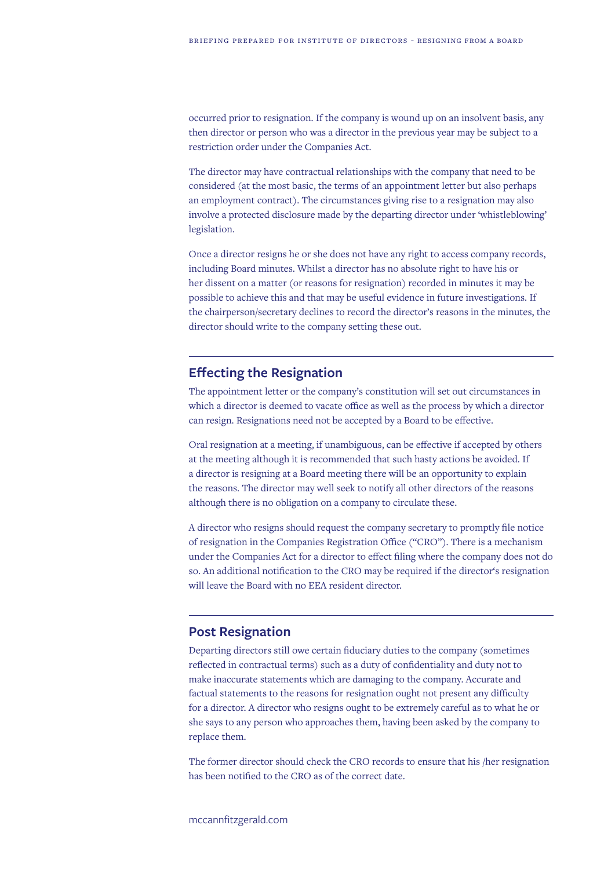occurred prior to resignation. If the company is wound up on an insolvent basis, any then director or person who was a director in the previous year may be subject to a restriction order under the Companies Act.

The director may have contractual relationships with the company that need to be considered (at the most basic, the terms of an appointment letter but also perhaps an employment contract). The circumstances giving rise to a resignation may also involve a protected disclosure made by the departing director under 'whistleblowing' legislation.

Once a director resigns he or she does not have any right to access company records, including Board minutes. Whilst a director has no absolute right to have his or her dissent on a matter (or reasons for resignation) recorded in minutes it may be possible to achieve this and that may be useful evidence in future investigations. If the chairperson/secretary declines to record the director's reasons in the minutes, the director should write to the company setting these out.

## **Effecting the Resignation**

The appointment letter or the company's constitution will set out circumstances in which a director is deemed to vacate office as well as the process by which a director can resign. Resignations need not be accepted by a Board to be effective.

Oral resignation at a meeting, if unambiguous, can be effective if accepted by others at the meeting although it is recommended that such hasty actions be avoided. If a director is resigning at a Board meeting there will be an opportunity to explain the reasons. The director may well seek to notify all other directors of the reasons although there is no obligation on a company to circulate these.

A director who resigns should request the company secretary to promptly file notice of resignation in the Companies Registration Office ("CRO"). There is a mechanism under the Companies Act for a director to effect filing where the company does not do so. An additional notification to the CRO may be required if the director's resignation will leave the Board with no EEA resident director.

## **Post Resignation**

Departing directors still owe certain fiduciary duties to the company (sometimes reflected in contractual terms) such as a duty of confidentiality and duty not to make inaccurate statements which are damaging to the company. Accurate and factual statements to the reasons for resignation ought not present any difficulty for a director. A director who resigns ought to be extremely careful as to what he or she says to any person who approaches them, having been asked by the company to replace them.

The former director should check the CRO records to ensure that his /her resignation has been notified to the CRO as of the correct date.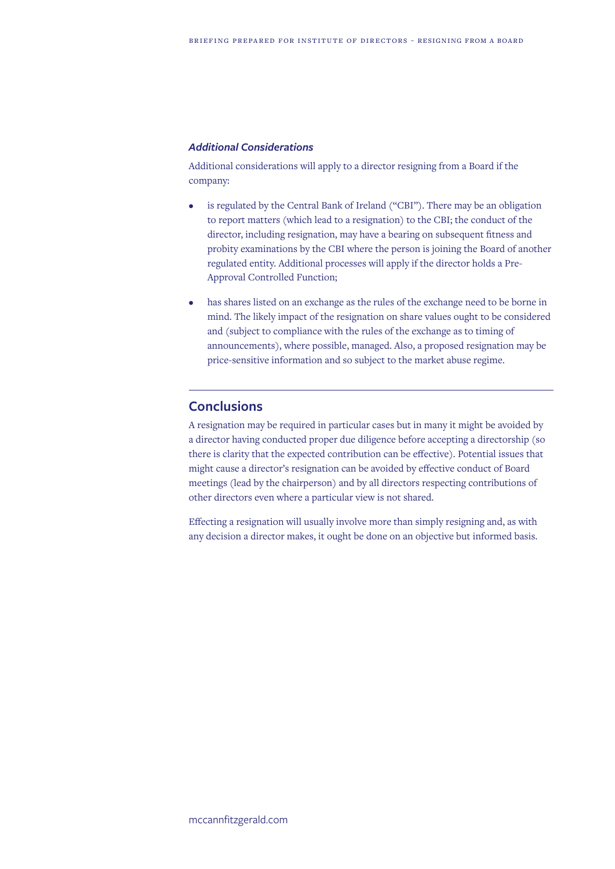#### *Additional Considerations*

Additional considerations will apply to a director resigning from a Board if the company:

- is regulated by the Central Bank of Ireland ("CBI"). There may be an obligation to report matters (which lead to a resignation) to the CBI; the conduct of the director, including resignation, may have a bearing on subsequent fitness and probity examinations by the CBI where the person is joining the Board of another regulated entity. Additional processes will apply if the director holds a Pre-Approval Controlled Function;
- has shares listed on an exchange as the rules of the exchange need to be borne in mind. The likely impact of the resignation on share values ought to be considered and (subject to compliance with the rules of the exchange as to timing of announcements), where possible, managed. Also, a proposed resignation may be price-sensitive information and so subject to the market abuse regime.

### **Conclusions**

A resignation may be required in particular cases but in many it might be avoided by a director having conducted proper due diligence before accepting a directorship (so there is clarity that the expected contribution can be effective). Potential issues that might cause a director's resignation can be avoided by effective conduct of Board meetings (lead by the chairperson) and by all directors respecting contributions of other directors even where a particular view is not shared.

Effecting a resignation will usually involve more than simply resigning and, as with any decision a director makes, it ought be done on an objective but informed basis.